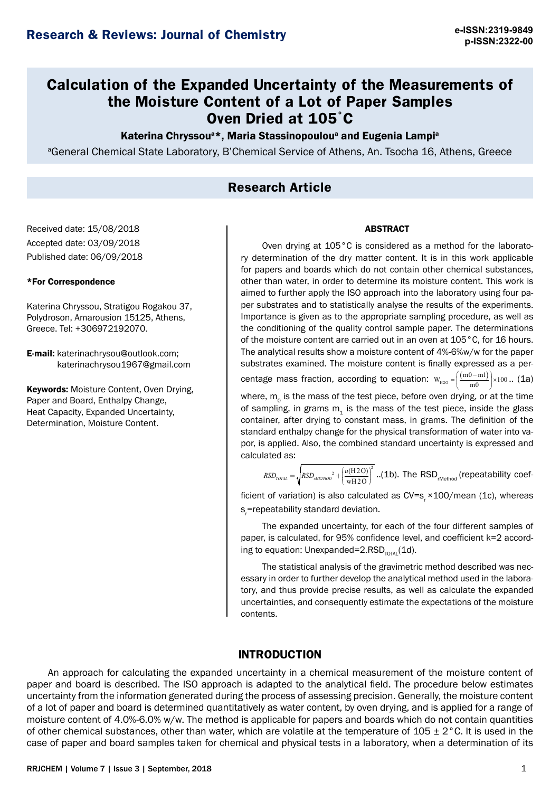# **Calculation of the Expanded Uncertainty of the Measurements of the Moisture Content of a Lot of Paper Samples Oven Dried at 105**°**C**

## Katerina Chryssou<sup>a\*</sup>, Maria Stassinopoulou<sup>a</sup> and Eugenia Lampi<sup>a</sup>

a General Chemical State Laboratory, Β'Chemical Service of Athens, An. Tsocha 16, Athens, Greece

## **Research Article**

Received date: 15/08/2018 Accepted date: 03/09/2018 Published date: 06/09/2018

### \*For Correspondence

Katerina Chryssou, Stratigou Rogakou 37, Polydroson, Amarousion 15125, Athens, Greece. Tel: +306972192070.

E-mail: katerinachrysou@outlook.com; katerinachrysou1967@gmail.com

**Keywords: Moisture Content, Oven Drying,** Paper and Board, Enthalpy Change, Heat Capacity, Expanded Uncertainty, Determination, Moisture Content.

#### ABSTRACT

Oven drying at 105°C is considered as a method for the laboratory determination of the dry matter content. It is in this work applicable for papers and boards which do not contain other chemical substances, other than water, in order to determine its moisture content. This work is aimed to further apply the ISO approach into the laboratory using four paper substrates and to statistically analyse the results of the experiments. Importance is given as to the appropriate sampling procedure, as well as the conditioning of the quality control sample paper. The determinations of the moisture content are carried out in an oven at 105°C, for 16 hours. The analytical results show a moisture content of 4%-6%w/w for the paper substrates examined. The moisture content is finally expressed as a per-

centage mass fraction, according to equation:  $w_{_{H2O}} = \left(\frac{(m0 - ml)}{m0}\right) \times 100$ .. (1a)

where,  $m_0$  is the mass of the test piece, before oven drying, or at the time of sampling, in grams  $m<sub>4</sub>$  is the mass of the test piece, inside the glass container, after drying to constant mass, in grams. The definition of the standard enthalpy change for the physical transformation of water into vapor, is applied. Also, the combined standard uncertainty is expressed and calculated as:

 $_{2}$   $(u(H2O))^{2}$  $RSD_{_{TOLAL}} = \sqrt{RSD_{_{rMETHOD}}^2 + \left(\frac{u(\text{H2O})}{\text{wH2O}}\right)^2}$  . (1b). The RSD<sub>rMethod</sub> (repeatability coef-

ficient of variation) is also calculated as  $CV=s$ ,  $×100$ /mean (1c), whereas s<sub>r</sub>=repeatability standard deviation.

The expanded uncertainty, for each of the four different samples of paper, is calculated, for 95% confidence level, and coefficient k=2 according to equation: Unexpanded=2.RSD $_{\text{total}}(1d)$ .

The statistical analysis of the gravimetric method described was necessary in order to further develop the analytical method used in the laboratory, and thus provide precise results, as well as calculate the expanded uncertainties, and consequently estimate the expectations of the moisture contents.

## **INTRODUCTION**

An approach for calculating the expanded uncertainty in a chemical measurement of the moisture content of paper and board is described. The ISO approach is adapted to the analytical field. The procedure below estimates uncertainty from the information generated during the process of assessing precision. Generally, the moisture content of a lot of paper and board is determined quantitatively as water content, by oven drying, and is applied for a range of moisture content of 4.0%-6.0% w/w. The method is applicable for papers and boards which do not contain quantities of other chemical substances, other than water, which are volatile at the temperature of  $105 \pm 2$ °C. It is used in the case of paper and board samples taken for chemical and physical tests in a laboratory, when a determination of its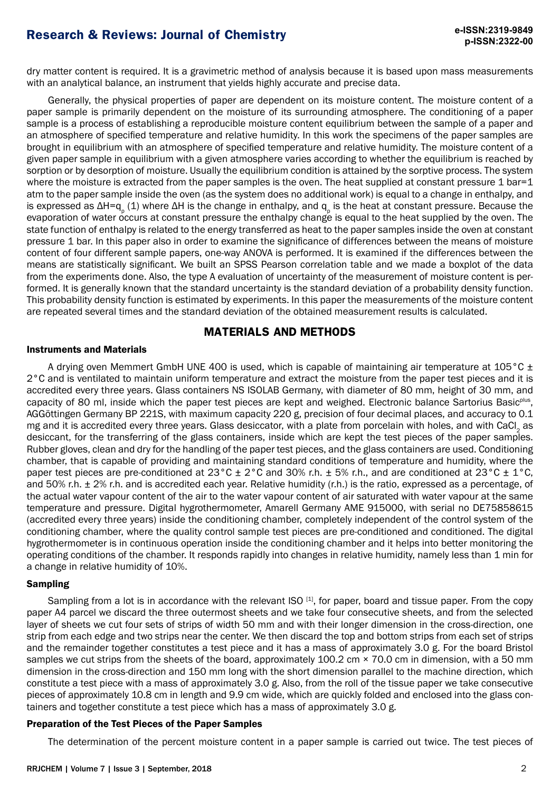dry matter content is required. It is a gravimetric method of analysis because it is based upon mass measurements with an analytical balance, an instrument that yields highly accurate and precise data.

Generally, the physical properties of paper are dependent on its moisture content. The moisture content of a paper sample is primarily dependent on the moisture of its surrounding atmosphere. The conditioning of a paper sample is a process of establishing a reproducible moisture content equilibrium between the sample of a paper and an atmosphere of specified temperature and relative humidity. In this work the specimens of the paper samples are brought in equilibrium with an atmosphere of specified temperature and relative humidity. The moisture content of a given paper sample in equilibrium with a given atmosphere varies according to whether the equilibrium is reached by sorption or by desorption of moisture. Usually the equilibrium condition is attained by the sorptive process. The system where the moisture is extracted from the paper samples is the oven. The heat supplied at constant pressure 1 bar=1 atm to the paper sample inside the oven (as the system does no additional work) is equal to a change in enthalpy, and is expressed as ΔH=q<sub>p</sub> (1) where ΔH is the change in enthalpy, and q<sub>p</sub> is the heat at constant pressure. Because the evaporation of water occurs at constant pressure the enthalpy change is equal to the heat supplied by the oven. The state function of enthalpy is related to the energy transferred as heat to the paper samples inside the oven at constant pressure 1 bar. In this paper also in order to examine the significance of differences between the means of moisture content of four different sample papers, one-way ANOVA is performed. It is examined if the differences between the means are statistically significant. We built an SPSS Pearson correlation table and we made a boxplot of the data from the experiments done. Also, the type A evaluation of uncertainty of the measurement of moisture content is performed. It is generally known that the standard uncertainty is the standard deviation of a probability density function. This probability density function is estimated by experiments. In this paper the measurements of the moisture content are repeated several times and the standard deviation of the obtained measurement results is calculated.

## **MATERIALS AND METHODS**

## Instruments and Materials

A drying oven Memmert GmbH UNE 400 is used, which is capable of maintaining air temperature at 105 °C  $\pm$ 2°C and is ventilated to maintain uniform temperature and extract the moisture from the paper test pieces and it is accredited every three years. Glass containers NS ISOLAB Germany, with diameter of 80 mm, height of 30 mm, and capacity of 80 ml, inside which the paper test pieces are kept and weighed. Electronic balance Sartorius Basic<sup>plus</sup>, AGGöttingen Germany BP 221S, with maximum capacity 220 g, precision of four decimal places, and accuracy to 0.1 mg and it is accredited every three years. Glass desiccator, with a plate from porcelain with holes, and with CaCl, as desiccant, for the transferring of the glass containers, inside which are kept the test pieces of the paper samples. Rubber gloves, clean and dry for the handling of the paper test pieces, and the glass containers are used. Conditioning chamber, that is capable of providing and maintaining standard conditions of temperature and humidity, where the paper test pieces are pre-conditioned at 23 $^{\circ}$ C  $\pm$  2 $^{\circ}$ C and 30% r.h.  $\pm$  5% r.h., and are conditioned at 23 $^{\circ}$ C  $\pm$  1 $^{\circ}$ C. and 50% r.h.  $\pm$  2% r.h. and is accredited each year. Relative humidity (r.h.) is the ratio, expressed as a percentage, of the actual water vapour content of the air to the water vapour content of air saturated with water vapour at the same temperature and pressure. Digital hygrothermometer, Amarell Germany AME 915000, with serial no DE75858615 (accredited every three years) inside the conditioning chamber, completely independent of the control system of the conditioning chamber, where the quality control sample test pieces are pre-conditioned and conditioned. The digital hygrothermometer is in continuous operation inside the conditioning chamber and it helps into better monitoring the operating conditions of the chamber. It responds rapidly into changes in relative humidity, namely less than 1 min for a change in relative humidity of 10%.

### Sampling

Sampling from a lot is in accordance with the relevant ISO [1], for paper, board and tissue paper. From the copy paper A4 parcel we discard the three outermost sheets and we take four consecutive sheets, and from the selected layer of sheets we cut four sets of strips of width 50 mm and with their longer dimension in the cross-direction, one strip from each edge and two strips near the center. We then discard the top and bottom strips from each set of strips and the remainder together constitutes a test piece and it has a mass of approximately 3.0 g. For the board Bristol samples we cut strips from the sheets of the board, approximately 100.2 cm  $\times$  70.0 cm in dimension, with a 50 mm dimension in the cross-direction and 150 mm long with the short dimension parallel to the machine direction, which constitute a test piece with a mass of approximately 3.0 g. Also, from the roll of the tissue paper we take consecutive pieces of approximately 10.8 cm in length and 9.9 cm wide, which are quickly folded and enclosed into the glass containers and together constitute a test piece which has a mass of approximately 3.0 g.

### Preparation of the Test Pieces of the Paper Samples

The determination of the percent moisture content in a paper sample is carried out twice. The test pieces of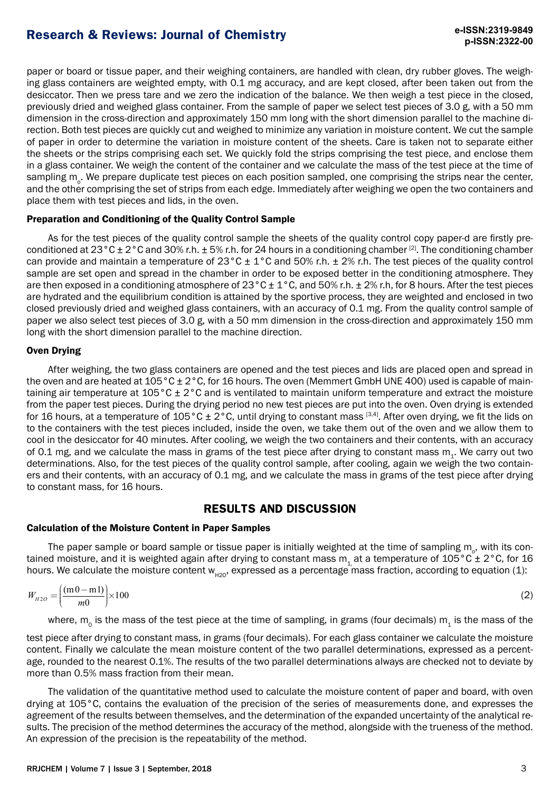paper or board or tissue paper, and their weighing containers, are handled with clean, dry rubber gloves. The weighing glass containers are weighted empty, with 0.1 mg accuracy, and are kept closed, after been taken out from the desiccator. Then we press tare and we zero the indication of the balance. We then weigh a test piece in the closed, previously dried and weighed glass container. From the sample of paper we select test pieces of 3.0 g, with a 50 mm dimension in the cross-direction and approximately 150 mm long with the short dimension parallel to the machine direction. Both test pieces are quickly cut and weighed to minimize any variation in moisture content. We cut the sample of paper in order to determine the variation in moisture content of the sheets. Care is taken not to separate either the sheets or the strips comprising each set. We quickly fold the strips comprising the test piece, and enclose them in a glass container. We weigh the content of the container and we calculate the mass of the test piece at the time of sampling m<sub>o</sub>. We prepare duplicate test pieces on each position sampled, one comprising the strips near the center, and the other comprising the set of strips from each edge. Immediately after weighing we open the two containers and place them with test pieces and lids, in the oven.

### Preparation and Conditioning of the Quality Control Sample

As for the test pieces of the quality control sample the sheets of the quality control copy paper-d are firstly preconditioned at  $23^{\circ}$ C ± 2°C and 30% r.h. ± 5% r.h. for 24 hours in a conditioning chamber [2]. The conditioning chamber can provide and maintain a temperature of  $23^{\circ}$ C  $\pm$  1°C and 50% r.h.  $\pm$  2% r.h. The test pieces of the quality control sample are set open and spread in the chamber in order to be exposed better in the conditioning atmosphere. They are then exposed in a conditioning atmosphere of  $23^{\circ}$ C ± 1 $^{\circ}$ C, and 50% r.h. ± 2% r.h, for 8 hours. After the test pieces are hydrated and the equilibrium condition is attained by the sportive process, they are weighted and enclosed in two closed previously dried and weighed glass containers, with an accuracy of 0.1 mg. From the quality control sample of paper we also select test pieces of 3.0 g, with a 50 mm dimension in the cross-direction and approximately 150 mm long with the short dimension parallel to the machine direction.

### Oven Drying

After weighing, the two glass containers are opened and the test pieces and lids are placed open and spread in the oven and are heated at 105°C ± 2°C, for 16 hours. The oven (Memmert GmbH UNE 400) used is capable of maintaining air temperature at 105°C ± 2°C and is ventilated to maintain uniform temperature and extract the moisture from the paper test pieces. During the drying period no new test pieces are put into the oven. Oven drying is extended for 16 hours, at a temperature of  $105^{\circ}$ C ± 2°C, until drying to constant mass [3,4]. After oven drying, we fit the lids on to the containers with the test pieces included, inside the oven, we take them out of the oven and we allow them to cool in the desiccator for 40 minutes. After cooling, we weigh the two containers and their contents, with an accuracy of 0.1 mg, and we calculate the mass in grams of the test piece after drying to constant mass m<sub>1</sub>. We carry out two determinations. Also, for the test pieces of the quality control sample, after cooling, again we weigh the two containers and their contents, with an accuracy of 0.1 mg, and we calculate the mass in grams of the test piece after drying to constant mass, for 16 hours.

## **RESULTS AND DISCUSSION**

## Calculation of the Moisture Content in Paper Samples

The paper sample or board sample or tissue paper is initially weighted at the time of sampling  $m_o$ , with its contained moisture, and it is weighted again after drying to constant mass  $m_1$  at a temperature of 105°C ± 2°C, for 16 hours. We calculate the moisture content  $w_{\mu20}$ , expressed as a percentage mass fraction, according to equation (1):

$$
W_{H2O} = \left(\frac{\text{(m 0-m1)}}{\text{m0}}\right) \times 100\tag{2}
$$

where,  $m_0$  is the mass of the test piece at the time of sampling, in grams (four decimals)  $m_1$  is the mass of the

test piece after drying to constant mass, in grams (four decimals). For each glass container we calculate the moisture content. Finally we calculate the mean moisture content of the two parallel determinations, expressed as a percentage, rounded to the nearest 0.1%. The results of the two parallel determinations always are checked not to deviate by more than 0.5% mass fraction from their mean.

The validation of the quantitative method used to calculate the moisture content of paper and board, with oven drying at 105°C, contains the evaluation of the precision of the series of measurements done, and expresses the agreement of the results between themselves, and the determination of the expanded uncertainty of the analytical results. The precision of the method determines the accuracy of the method, alongside with the trueness of the method. An expression of the precision is the repeatability of the method.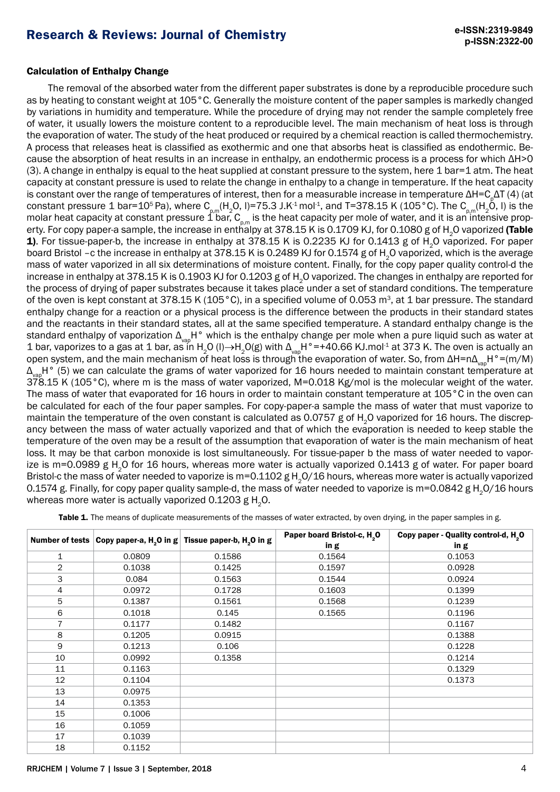### Calculation of Enthalpy Change

The removal of the absorbed water from the different paper substrates is done by a reproducible procedure such as by heating to constant weight at 105°C. Generally the moisture content of the paper samples is markedly changed by variations in humidity and temperature. While the procedure of drying may not render the sample completely free of water, it usually lowers the moisture content to a reproducible level. The main mechanism of heat loss is through the evaporation of water. The study of the heat produced or required by a chemical reaction is called thermochemistry. A process that releases heat is classified as exothermic and one that absorbs heat is classified as endothermic. Because the absorption of heat results in an increase in enthalpy, an endothermic process is a process for which ΔH>0  $(3)$ . A change in enthalpy is equal to the heat supplied at constant pressure to the system, here 1 bar=1 atm. The heat capacity at constant pressure is used to relate the change in enthalpy to a change in temperature. If the heat capacity is constant over the range of temperatures of interest, then for a measurable increase in temperature ΔΗ=C<sub>p</sub>ΔT (4) (at constant pressure 1 bar=10<sup>5</sup> Pa), where C<sub>p,m</sub>(H<sub>2</sub>O, I)=75.3 J.K<sup>-1</sup> mol<sup>-1</sup>, and T=378.15 K (105 °C). The C<sub>p,m</sub>(H<sub>2</sub>O, I) is the molar heat capacity at constant pressure 1 bar,  ${\sf C}_{_{\sf p,m}}$  is the heat capacity per mole of water, and it is an intensive property. For copy paper-a sample, the increase in enthalpy at 378.15 K is 0.1709 KJ, for 0.1080 g of H<sub>2</sub>O vaporized **(Table** 1). For tissue-paper-b, the increase in enthalpy at 378.15 K is 0.2235 KJ for 0.1413 g of H<sub>2</sub>O vaporized. For paper board Bristol –c the increase in enthalpy at 378.15 K is 0.2489 KJ for 0.1574 g of H<sub>2</sub>O vaporized, which is the average mass of water vaporized in all six determinations of moisture content. Finally, for the copy paper quality control-d the increase in enthalpy at 378.15 K is 0.1903 KJ for 0.1203 g of H<sub>2</sub>O vaporized. The changes in enthalpy are reported for the process of drying of paper substrates because it takes place under a set of standard conditions. The temperature of the oven is kept constant at 378.15 K (105 °C), in a specified volume of 0.053 m<sup>3</sup>, at 1 bar pressure. The standard enthalpy change for a reaction or a physical process is the difference between the products in their standard states and the reactants in their standard states, all at the same specified temperature. A standard enthalpy change is the standard enthalpy of vaporization  $\Delta_{\sf vap}$ H° which is the enthalpy change per mole when a pure liquid such as water at 1 bar, vaporizes to a gas at 1 bar, as in H<sub>2</sub>O (l)→H<sub>2</sub>O(g) with  $\Delta_{\text{vap}}$ H°=+40.66 KJ.mol<sup>-1</sup> at 373 K. The oven is actually an open system, and the main mechanism of heat loss is through the evaporation of water. So, from ΔΗ=nΔ<sub>van</sub>H°=(m/M) Δ<sub>κατ</sub>Η° (5) we can calculate the grams of water vaporized for 16 hours needed to maintain constant temperature at 378.15 K (105°C), where m is the mass of water vaporized, M=0.018 Kg/mol is the molecular weight of the water. The mass of water that evaporated for 16 hours in order to maintain constant temperature at 105°C in the oven can be calculated for each of the four paper samples. For copy-paper-a sample the mass of water that must vaporize to maintain the temperature of the oven constant is calculated as 0.0757 g of H<sub>2</sub>O vaporized for 16 hours. The discrepancy between the mass of water actually vaporized and that of which the evaporation is needed to keep stable the temperature of the oven may be a result of the assumption that evaporation of water is the main mechanism of heat loss. It may be that carbon monoxide is lost simultaneously. For tissue-paper b the mass of water needed to vaporize is m=0.0989 g H<sub>2</sub>O for 16 hours, whereas more water is actually vaporized 0.1413 g of water. For paper board Bristol-c the mass of water needed to vaporize is m=0.1102 g H<sub>2</sub>O/16 hours, whereas more water is actually vaporized 0.1574 g. Finally, for copy paper quality sample-d, the mass of water needed to vaporize is m=0.0842 g H<sub>2</sub>O/16 hours whereas more water is actually vaporized  $0.1203$  g H<sub>2</sub>O.

|                |        | Number of tests $\vert$ Copy paper-a, H <sub>2</sub> O in g $\vert$ Tissue paper-b, H <sub>2</sub> O in g | Paper board Bristol-c, H <sub>2</sub> O | Copy paper - Quality control-d, H <sub>2</sub> O |
|----------------|--------|-----------------------------------------------------------------------------------------------------------|-----------------------------------------|--------------------------------------------------|
|                |        |                                                                                                           | in g                                    | in g                                             |
| 1              | 0.0809 | 0.1586                                                                                                    | 0.1564                                  | 0.1053                                           |
| $\overline{2}$ | 0.1038 | 0.1425                                                                                                    | 0.1597                                  | 0.0928                                           |
| 3              | 0.084  | 0.1563                                                                                                    | 0.1544                                  | 0.0924                                           |
| 4              | 0.0972 | 0.1728                                                                                                    | 0.1603                                  | 0.1399                                           |
| 5              | 0.1387 | 0.1561                                                                                                    | 0.1568                                  | 0.1239                                           |
| 6              | 0.1018 | 0.145                                                                                                     | 0.1565                                  | 0.1196                                           |
| $\overline{7}$ | 0.1177 | 0.1482                                                                                                    |                                         | 0.1167                                           |
| 8              | 0.1205 | 0.0915                                                                                                    |                                         | 0.1388                                           |
| 9              | 0.1213 | 0.106                                                                                                     |                                         | 0.1228                                           |
| 10             | 0.0992 | 0.1358                                                                                                    |                                         | 0.1214                                           |
| 11             | 0.1163 |                                                                                                           |                                         | 0.1329                                           |
| 12             | 0.1104 |                                                                                                           |                                         | 0.1373                                           |
| 13             | 0.0975 |                                                                                                           |                                         |                                                  |
| 14             | 0.1353 |                                                                                                           |                                         |                                                  |
| 15             | 0.1006 |                                                                                                           |                                         |                                                  |
| 16             | 0.1059 |                                                                                                           |                                         |                                                  |
| 17             | 0.1039 |                                                                                                           |                                         |                                                  |
| 18             | 0.1152 |                                                                                                           |                                         |                                                  |

Table 1. The means of duplicate measurements of the masses of water extracted, by oven drying, in the paper samples in g.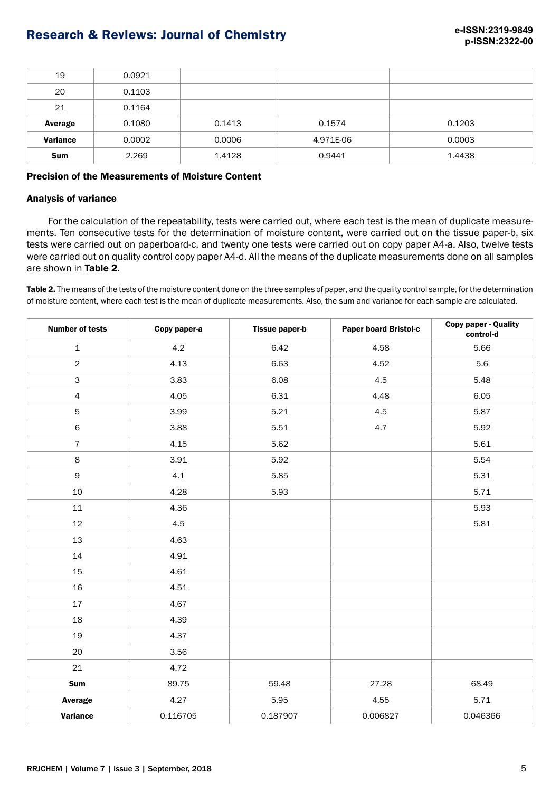| 19              | 0.0921 |        |           |        |
|-----------------|--------|--------|-----------|--------|
| 20              | 0.1103 |        |           |        |
| 21              | 0.1164 |        |           |        |
| Average         | 0.1080 | 0.1413 | 0.1574    | 0.1203 |
| <b>Variance</b> | 0.0002 | 0.0006 | 4.971E-06 | 0.0003 |
| <b>Sum</b>      | 2.269  | 1.4128 | 0.9441    | 1.4438 |

### Precision of the Measurements of Moisture Content

### Analysis of variance

For the calculation of the repeatability, tests were carried out, where each test is the mean of duplicate measurements. Ten consecutive tests for the determination of moisture content, were carried out on the tissue paper-b, six tests were carried out on paperboard-c, and twenty one tests were carried out on copy paper A4-a. Also, twelve tests were carried out on quality control copy paper A4-d. All the means of the duplicate measurements done on all samples are shown in Table 2.

Table 2. The means of the tests of the moisture content done on the three samples of paper, and the quality control sample, for the determination of moisture content, where each test is the mean of duplicate measurements. Also, the sum and variance for each sample are calculated.

| <b>Number of tests</b> | Copy paper-a | <b>Tissue paper-b</b> | Paper board Bristol-c |          |
|------------------------|--------------|-----------------------|-----------------------|----------|
| $\mathbf{1}$           | 4.2          | 6.42                  | 4.58                  | 5.66     |
| $\overline{2}$         | 4.13         | 6.63                  | 4.52                  | 5.6      |
| $\mathsf{3}$           | 3.83         | 6.08                  | 4.5                   | 5.48     |
| $\overline{4}$         | 4.05         | 6.31                  | 4.48                  | 6.05     |
| 5                      | 3.99         | 5.21                  | 4.5                   | 5.87     |
| $\,$ 6 $\,$            | 3.88         | 5.51                  | 4.7                   | 5.92     |
| $\overline{7}$         | 4.15         | 5.62                  |                       | 5.61     |
| 8                      | 3.91         | 5.92                  |                       | 5.54     |
| 9                      | 4.1          | 5.85                  |                       | 5.31     |
| 10                     | 4.28         | 5.93                  |                       | 5.71     |
| 11                     | 4.36         |                       |                       | 5.93     |
| 12                     | 4.5          |                       |                       | 5.81     |
| 13                     | 4.63         |                       |                       |          |
| 14                     | 4.91         |                       |                       |          |
| 15                     | 4.61         |                       |                       |          |
| 16                     | 4.51         |                       |                       |          |
| 17                     | 4.67         |                       |                       |          |
| 18                     | 4.39         |                       |                       |          |
| 19                     | 4.37         |                       |                       |          |
| 20                     | 3.56         |                       |                       |          |
| 21                     | 4.72         |                       |                       |          |
| Sum                    | 89.75        | 59.48                 | 27.28                 | 68.49    |
| Average                | 4.27         | 5.95                  | 4.55                  | 5.71     |
| <b>Variance</b>        | 0.116705     | 0.187907              | 0.006827              | 0.046366 |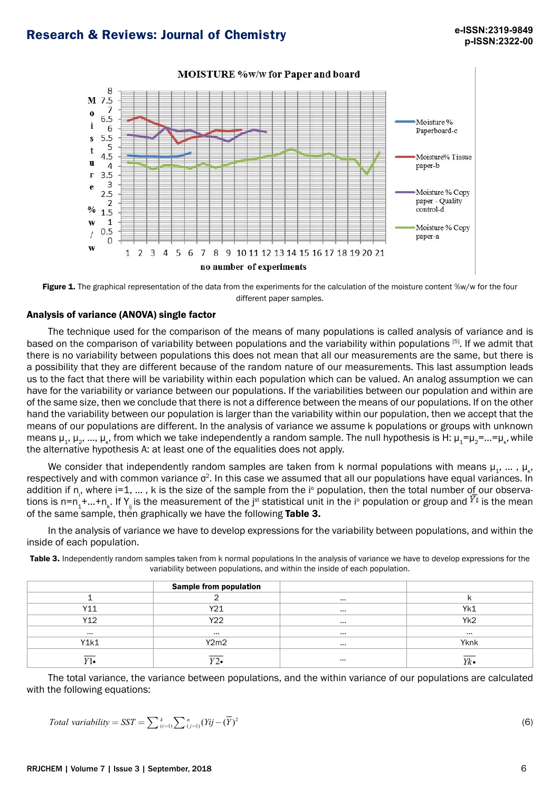

### **MOISTURE %w/w for Paper and board**

Figure 1. The graphical representation of the data from the experiments for the calculation of the moisture content %w/w for the four different paper samples.

### Analysis of variance (ANOVA) single factor

The technique used for the comparison of the means of many populations is called analysis of variance and is based on the comparison of variability between populations and the variability within populations [5]. If we admit that there is no variability between populations this does not mean that all our measurements are the same, but there is a possibility that they are different because of the random nature of our measurements. This last assumption leads us to the fact that there will be variability within each population which can be valued. An analog assumption we can have for the variability or variance between our populations. If the variabilities between our population and within are of the same size, then we conclude that there is not a difference between the means of our populations. If on the other hand the variability between our population is larger than the variability within our population, then we accept that the means of our populations are different. In the analysis of variance we assume k populations or groups with unknown means μ<sub>1</sub>, μ<sub>2</sub>, ..., μ<sub>κ</sub>, from which we take independently a random sample. The null hypothesis is H: μ<sub>1</sub>=μ<sub>2</sub>=...=μ<sub>κ</sub>, while the alternative hypothesis A: at least one of the equalities does not apply.

We consider that independently random samples are taken from k normal populations with means  $\mu_1, \dots, \mu_k$ , respectively and with common variance  $\sigma^2$ . In this case we assumed that all our populations have equal variances. In addition if n<sub>i</sub>, where i=1, ... , k is the size of the sample from the i° population, then the total number of our observations is n=n<sub>1</sub>+...+n<sub>k</sub>. If Y<sub>ij</sub> is the measurement of the j<sup>st</sup> statistical unit in the i° population or group and Kt is the mean of the same sample, then graphically we have the following Table 3.

In the analysis of variance we have to develop expressions for the variability between populations, and within the inside of each population.

Table 3. Independently random samples taken from k normal populations In the analysis of variance we have to develop expressions for the variability between populations, and within the inside of each population.

|          | <b>Sample from population</b> |          |                 |
|----------|-------------------------------|----------|-----------------|
|          |                               | $-0.05$  |                 |
| Y11      | Y21                           | $\cdots$ | Yk1             |
| Y12      | Y22                           | $\cdots$ | Yk <sub>2</sub> |
| $\cdots$ | $\cdots$                      | $-0.05$  |                 |
| Y1k1     | Y2m2                          | $-0.05$  | Yknk            |
| V1       | $\overline{Y2\bullet}$        |          | Yk              |

The total variance, the variance between populations, and the within variance of our populations are calculated with the following equations:

$$
Total variability = SST = \sum_{(i=1)}^{k} \sum_{(j=1)}^{n} (Yij - (\overline{Y})^2)
$$
\n(6)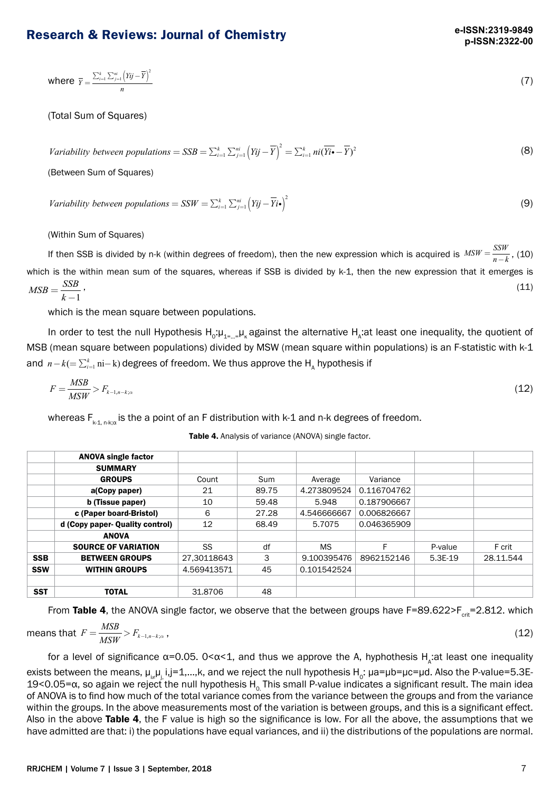where 
$$
\overline{Y} = \frac{\sum_{i=1}^{k} \sum_{j=1}^{ni} (Y_{ij} - \overline{Y})^2}{n}
$$
 (7)

(Total Sum of Squares)

*Variability between populations* = 
$$
SSB = \sum_{i=1}^{k} \sum_{j=1}^{n_i} (Yij - \overline{Y})^2 = \sum_{i=1}^{k} ni(\overline{Yi \bullet} - \overline{Y})^2
$$
 (8)

(Between Sum of Squares)

Variability between populations =  $SSW = \sum_{i=1}^{k} \sum_{j=1}^{n_i} (Y_{ij} - \overline{Y}_{i} \cdot \mathbf{e})^2$  (9)

(Within Sum of Squares)

If then SSB is divided by n-k (within degrees of freedom), then the new expression which is acquired is  $MSW = \frac{SSW}{n-k}$ , (10) which is the within mean sum of the squares, whereas if SSB is divided by k-1, then the new expression that it emerges is  $MSB = \frac{SSB}{k-1}$ ,  $(11)$ 

which is the mean square between populations.

In order to test the null Hypothesis  $H_o:\mu_{1=\dots=\mu_\kappa}$  against the alternative  $H_\lambda$ :at least one inequality, the quotient of MSB (mean square between populations) divided by MSW (mean square within populations) is an F-statistic with k-1 and  $\,n-k(=\sum_{i=1}^k \mathrm{ni}-\mathrm{k})$  degrees of freedom. We thus approve the  $\mathsf{H}_{_{\mathsf{A}}}$  hypothesis if

$$
F = \frac{MSB}{MSW} > F_{k-1, n-k;\alpha} \tag{12}
$$

whereas  $F_{k+1,n+{\alpha}}$  is the a point of an F distribution with k-1 and n-k degrees of freedom.

| <b>Table 4.</b> Analysis of variance (ANOVA) single factor. |  |
|-------------------------------------------------------------|--|
|                                                             |  |

|            | <b>ANOVA single factor</b>      |             |       |             |             |           |           |
|------------|---------------------------------|-------------|-------|-------------|-------------|-----------|-----------|
|            | <b>SUMMARY</b>                  |             |       |             |             |           |           |
|            | <b>GROUPS</b>                   | Count       | Sum   | Average     | Variance    |           |           |
|            | a(Copy paper)                   | 21          | 89.75 | 4.273809524 | 0.116704762 |           |           |
|            | b (Tissue paper)                | 10          | 59.48 | 5.948       | 0.187906667 |           |           |
|            | c (Paper board-Bristol)         | 6           | 27.28 | 4.546666667 | 0.006826667 |           |           |
|            | d (Copy paper- Quality control) | 12          | 68.49 | 5.7075      | 0.046365909 |           |           |
|            | <b>ANOVA</b>                    |             |       |             |             |           |           |
|            | <b>SOURCE OF VARIATION</b>      | SS          | df    | <b>MS</b>   | F           | P-value   | F crit    |
| <b>SSB</b> | <b>BETWEEN GROUPS</b>           | 27.30118643 | 3     | 9.100395476 | 8962152146  | $5.3E-19$ | 28.11.544 |
| <b>SSW</b> | <b>WITHIN GROUPS</b>            | 4.569413571 | 45    | 0.101542524 |             |           |           |
|            |                                 |             |       |             |             |           |           |
| <b>SST</b> | <b>TOTAL</b>                    | 31,8706     | 48    |             |             |           |           |

From Table 4, the ANOVA single factor, we observe that the between groups have  $F=89.622>F_{\text{crit}}=2.812$ . which

means that 
$$
F = \frac{MSB}{MSW} > F_{k-1,n-k;\alpha}
$$
, (12)

for a level of significance α=0.05. 0<α<1, and thus we approve the A, hyphothesis  $H_A$ :at least one inequality exists between the means,  $\mu_{i\mu}$ , i,j=1,...,k, and we reject the null hypothesis H<sub>0</sub>:  $\mu$ a= $\mu$ b= $\mu$ c= $\mu$ d. Also the P-value=5.3E-19<0.05=α, so again we reject the null hypothesis H<sub>o</sub> This small P-value indicates a significant result. The main idea of ANOVA is to find how much of the total variance comes from the variance between the groups and from the variance within the groups. In the above measurements most of the variation is between groups, and this is a significant effect. Also in the above Table 4, the F value is high so the significance is low. For all the above, the assumptions that we have admitted are that: i) the populations have equal variances, and ii) the distributions of the populations are normal.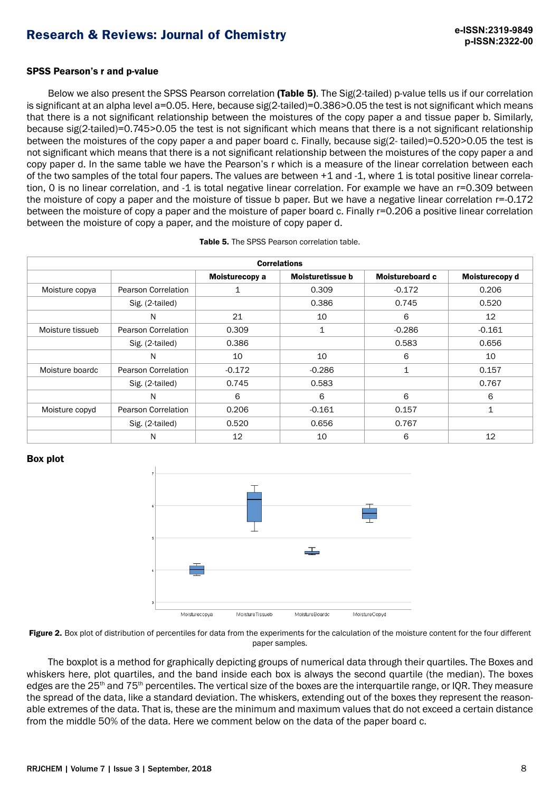### SPSS Pearson's r and p-value

Below we also present the SPSS Pearson correlation (Table 5). The Sig(2-tailed) p-value tells us if our correlation is significant at an alpha level a=0.05. Here, because sig(2-tailed)=0.386>0.05 the test is not significant which means that there is a not significant relationship between the moistures of the copy paper a and tissue paper b. Similarly, because sig(2-tailed)=0.745>0.05 the test is not significant which means that there is a not significant relationship between the moistures of the copy paper a and paper board c. Finally, because sig(2- tailed)=0.520>0.05 the test is not significant which means that there is a not significant relationship between the moistures of the copy paper a and copy paper d. In the same table we have the Pearson's r which is a measure of the linear correlation between each of the two samples of the total four papers. The values are between  $+1$  and  $-1$ , where 1 is total positive linear correlation, 0 is no linear correlation, and -1 is total negative linear correlation. For example we have an r=0.309 between the moisture of copy a paper and the moisture of tissue b paper. But we have a negative linear correlation r=-0.172 between the moisture of copy a paper and the moisture of paper board c. Finally r=0.206 a positive linear correlation between the moisture of copy a paper, and the moisture of copy paper d.

| <b>Correlations</b> |                            |                |                  |                 |                |  |  |
|---------------------|----------------------------|----------------|------------------|-----------------|----------------|--|--|
|                     |                            | Moisturecopy a | Moisturetissue b | Moistureboard c | Moisturecopy d |  |  |
| Moisture copya      | Pearson Correlation        |                | 0.309            | $-0.172$        | 0.206          |  |  |
|                     | Sig. (2-tailed)            |                | 0.386            | 0.745           | 0.520          |  |  |
|                     | N                          | 21             | 10               | 6               | 12             |  |  |
| Moisture tissueb    | Pearson Correlation        | 0.309          | 1                | $-0.286$        | $-0.161$       |  |  |
|                     | Sig. (2-tailed)            | 0.386          |                  | 0.583           | 0.656          |  |  |
|                     | N                          | 10             | 10               | 6               | 10             |  |  |
| Moisture boardc     | Pearson Correlation        | $-0.172$       | $-0.286$         | 1               | 0.157          |  |  |
|                     | Sig. (2-tailed)            | 0.745          | 0.583            |                 | 0.767          |  |  |
|                     | N                          | 6              | 6                | 6               | 6              |  |  |
| Moisture copyd      | <b>Pearson Correlation</b> | 0.206          | $-0.161$         | 0.157           | $\mathbf{1}$   |  |  |
|                     | Sig. (2-tailed)            | 0.520          | 0.656            | 0.767           |                |  |  |
|                     | N                          | 12             | 10               | 6               | 12             |  |  |

#### Box plot





The boxplot is a method for graphically depicting groups of numerical data through their quartiles. The Boxes and whiskers here, plot [quartiles,](https://en.wikipedia.org/wiki/Quartile) and the band inside each box is always the second [quartile](https://en.wikipedia.org/wiki/Quartile) (the [median\)](https://en.wikipedia.org/wiki/Median). The boxes edges are the 25<sup>th</sup> and 75<sup>th</sup> percentiles. The vertical size of the boxes are the interquartile range, or IOR. They measure the spread of the data, like a standard deviation. The whiskers, extending out of the boxes they represent the reasonable extremes of the data. That is, these are the minimum and maximum values that do not exceed a certain distance from the middle 50% of the data. Here we comment below on the data of the paper board c.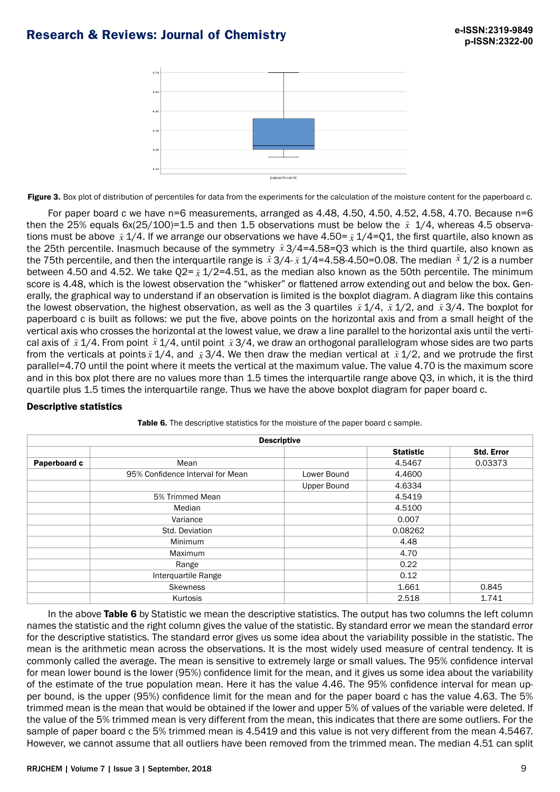

Figure 3. Box plot of distribution of percentiles for data from the experiments for the calculation of the moisture content for the paperboard c.

For paper board c we have n=6 measurements, arranged as 4.48, 4.50, 4.50, 4.52, 4.58, 4.70. Because n=6 then the 25% equals 6x(25/100)=1.5 and then 1.5 observations must be below the *x* 1/4, whereas 4.5 observations must be above *x* 1/4. If we arrange our observations we have 4.50= *x* 1/4=Q1, the first quartile, also known as the 25th percentile. Inasmuch because of the symmetry  $\tilde{x}$  3/4=4.58=Q3 which is the third quartile, also known as the 75th percentile, and then the interquartile range is  $\tilde{x}$  3/4- $\tilde{x}$  1/4=4.58-4.50=0.08. The median  $\tilde{x}$  1/2 is a number between 4.50 and 4.52. We take Q2=  $\tilde{x}$  1/2=4.51, as the median also known as the 50th percentile. The minimum score is 4.48, which is the lowest observation the "whisker" or flattened arrow extending out and below the box. Generally, the graphical way to understand if an observation is limited is the boxplot diagram. A diagram like this contains the lowest observation, the highest observation, as well as the 3 quartiles *x* 1/4, *x* 1/2, and *x* 3/4. The boxplot for paperboard c is built as follows: we put the five, above points on the horizontal axis and from a small height of the vertical axis who crosses the horizontal at the lowest value, we draw a line parallel to the horizontal axis until the vertical axis of  $\tilde x$  1/4. From point  $\tilde x$  1/4, until point  $\tilde x$  3/4, we draw an orthogonal parallelogram whose sides are two parts from the verticals at points  $\tilde x$  1/4, and  $\tilde x$  3/4. We then draw the median vertical at  $\tilde x$  1/2, and we protrude the first parallel=4.70 until the point where it meets the vertical at the maximum value. The value 4.70 is the maximum score and in this box plot there are no values more than 1.5 times the interquartile range above Q3, in which, it is the third quartile plus 1.5 times the interquartile range. Thus we have the above boxplot diagram for paper board c.

### Descriptive statistics

| <b>Descriptive</b> |                                  |             |                  |                   |  |  |  |
|--------------------|----------------------------------|-------------|------------------|-------------------|--|--|--|
|                    |                                  |             | <b>Statistic</b> | <b>Std. Error</b> |  |  |  |
| Paperboard c       | Mean                             |             | 4.5467           | 0.03373           |  |  |  |
|                    | 95% Confidence Interval for Mean | Lower Bound | 4.4600           |                   |  |  |  |
|                    |                                  | Upper Bound | 4.6334           |                   |  |  |  |
|                    | 5% Trimmed Mean                  |             | 4.5419           |                   |  |  |  |
|                    | Median                           |             | 4.5100           |                   |  |  |  |
|                    | Variance                         |             | 0.007            |                   |  |  |  |
|                    | Std. Deviation                   |             | 0.08262          |                   |  |  |  |
|                    | Minimum                          |             | 4.48             |                   |  |  |  |
|                    | Maximum                          |             | 4.70             |                   |  |  |  |
|                    | Range                            |             | 0.22             |                   |  |  |  |
|                    | Interquartile Range              |             | 0.12             |                   |  |  |  |
|                    | <b>Skewness</b>                  |             | 1.661            | 0.845             |  |  |  |
|                    | Kurtosis                         |             | 2.518            | 1.741             |  |  |  |

Table 6. The descriptive statistics for the moisture of the paper board c sample.

In the above Table 6 by Statistic we mean the descriptive statistics. The output has two columns the left column names the statistic and the right column gives the value of the statistic. By standard error we mean the standard error for the descriptive statistics. The standard error gives us some idea about the variability possible in the statistic. The mean is the arithmetic mean across the observations. It is the most widely used measure of central tendency. It is commonly called the average. The mean is sensitive to extremely large or small values. The 95% confidence interval for mean lower bound is the lower (95%) confidence limit for the mean, and it gives us some idea about the variability of the estimate of the true population mean. Here it has the value 4.46. The 95% confidence interval for mean upper bound, is the upper (95%) confidence limit for the mean and for the paper board c has the value 4.63. The 5% trimmed mean is the mean that would be obtained if the lower and upper 5% of values of the variable were deleted. If the value of the 5% trimmed mean is very different from the mean, this indicates that there are some outliers. For the sample of paper board c the 5% trimmed mean is 4.5419 and this value is not very different from the mean 4.5467. However, we cannot assume that all outliers have been removed from the trimmed mean. The median 4.51 can split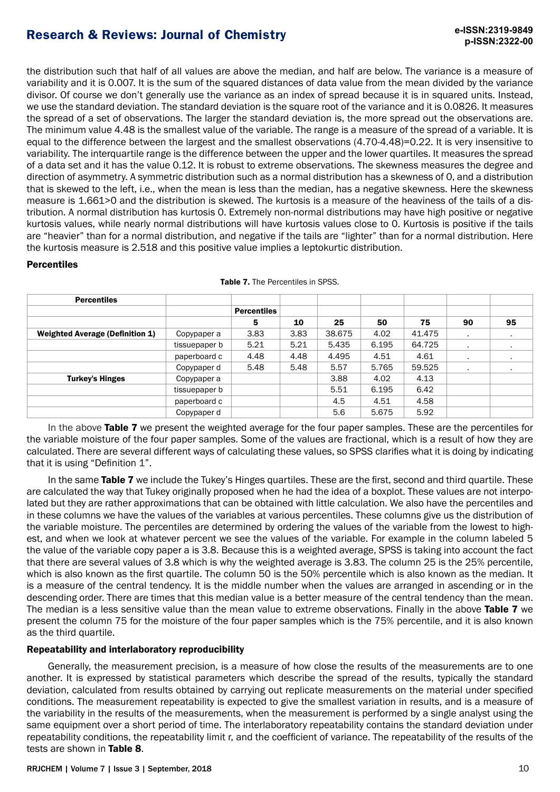the distribution such that half of all values are above the median, and half are below. The variance is a measure of variability and it is 0.007. It is the sum of the squared distances of data value from the mean divided by the variance divisor. Of course we don't generally use the variance as an index of spread because it is in squared units. Instead, we use the standard deviation. The standard deviation is the square root of the variance and it is 0.0826. It measures the spread of a set of observations. The larger the standard deviation is, the more spread out the observations are. The minimum value 4.48 is the smallest value of the variable. The range is a measure of the spread of a variable. It is equal to the difference between the largest and the smallest observations (4.70-4.48)=0.22. It is very insensitive to variability. The interquartile range is the difference between the upper and the lower quartiles. It measures the spread of a data set and it has the value 0.12. It is robust to extreme observations. The skewness measures the degree and direction of asymmetry. A symmetric distribution such as a normal distribution has a skewness of 0, and a distribution that is skewed to the left, i.e., when the mean is less than the median, has a negative skewness. Here the skewness measure is 1.661>0 and the distribution is skewed. The kurtosis is a measure of the heaviness of the tails of a distribution. A normal distribution has kurtosis 0. Extremely non-normal distributions may have high positive or negative kurtosis values, while nearly normal distributions will have kurtosis values close to 0. Kurtosis is positive if the tails are "heavier" than for a normal distribution, and negative if the tails are "lighter" than for a normal distribution. Here the kurtosis measure is 2.518 and this positive value implies a leptokurtic distribution.

## **Percentiles**

| <b>Percentiles</b>                     |               |                    |      |        |       |        |                |           |
|----------------------------------------|---------------|--------------------|------|--------|-------|--------|----------------|-----------|
|                                        |               | <b>Percentiles</b> |      |        |       |        |                |           |
|                                        |               | 5                  | 10   | 25     | 50    | 75     | 90             | 95        |
| <b>Weighted Average (Definition 1)</b> | Copypaper a   | 3.83               | 3.83 | 38.675 | 4.02  | 41.475 | ٠.             | $\bullet$ |
|                                        | tissuepaper b | 5.21               | 5.21 | 5.435  | 6.195 | 64.725 | ٠              | $\bullet$ |
|                                        | paperboard c  | 4.48               | 4.48 | 4.495  | 4.51  | 4.61   | $\blacksquare$ | $\bullet$ |
|                                        | Copypaper d   | 5.48               | 5.48 | 5.57   | 5.765 | 59.525 | ٠.             | $\bullet$ |
| <b>Turkey's Hinges</b>                 | Copypaper a   |                    |      | 3.88   | 4.02  | 4.13   |                |           |
|                                        | tissuepaper b |                    |      | 5.51   | 6.195 | 6.42   |                |           |
|                                        | paperboard c  |                    |      | 4.5    | 4.51  | 4.58   |                |           |
|                                        | Copypaper d   |                    |      | 5.6    | 5.675 | 5.92   |                |           |

|  |  | <b>Table 7.</b> The Percentiles in SPSS. |  |
|--|--|------------------------------------------|--|
|--|--|------------------------------------------|--|

In the above Table 7 we present the weighted average for the four paper samples. These are the percentiles for the variable moisture of the four paper samples. Some of the values are fractional, which is a result of how they are calculated. There are several different ways of calculating these values, so SPSS clarifies what it is doing by indicating that it is using "Definition 1".

In the same Table 7 we include the Tukey's Hinges quartiles. These are the first, second and third quartile. These are calculated the way that Tukey originally proposed when he had the idea of a boxplot. These values are not interpolated but they are rather approximations that can be obtained with little calculation. We also have the percentiles and in these columns we have the values of the variables at various percentiles. These columns give us the distribution of the variable moisture. The percentiles are determined by ordering the values of the variable from the lowest to highest, and when we look at whatever percent we see the values of the variable. For example in the column labeled 5 the value of the variable copy paper a is 3.8. Because this is a weighted average, SPSS is taking into account the fact that there are several values of 3.8 which is why the weighted average is 3.83. The column 25 is the 25% percentile, which is also known as the first quartile. The column 50 is the 50% percentile which is also known as the median. It is a measure of the central tendency. It is the middle number when the values are arranged in ascending or in the descending order. There are times that this median value is a better measure of the central tendency than the mean. The median is a less sensitive value than the mean value to extreme observations. Finally in the above Table 7 we present the column 75 for the moisture of the four paper samples which is the 75% percentile, and it is also known as the third quartile.

## Repeatability and interlaboratory reproducibility

Generally, the measurement precision, is a measure of how close the results of the measurements are to one another. It is expressed by statistical parameters which describe the spread of the results, typically the standard deviation, calculated from results obtained by carrying out replicate measurements on the material under specified conditions. The measurement repeatability is expected to give the smallest variation in results, and is a measure of the variability in the results of the measurements, when the measurement is performed by a single analyst using the same equipment over a short period of time. The interlaboratory repeatability contains the standard deviation under repeatability conditions, the repeatability limit r, and the coefficient of variance. The repeatability of the results of the tests are shown in Table 8.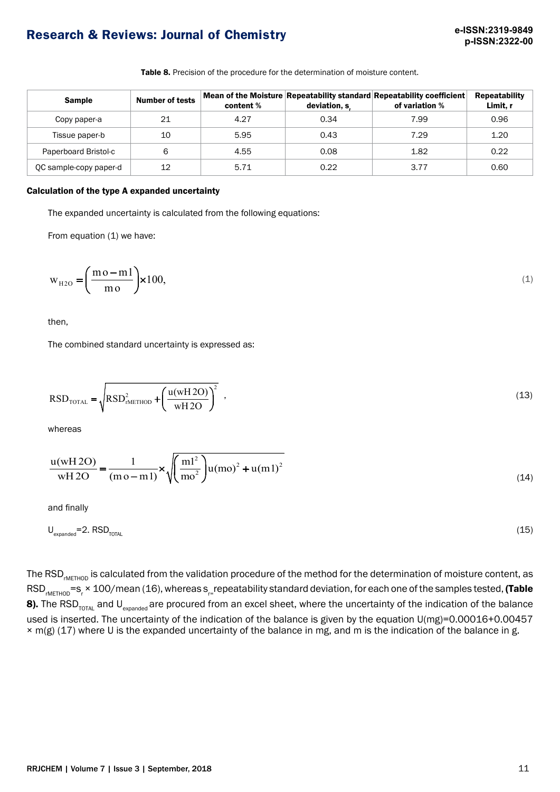Table 8. Precision of the procedure for the determination of moisture content.

| <b>Sample</b>          | <b>Number of tests</b> | content % | deviation, s | Mean of the Moisture Repeatability standard Repeatability coefficient<br>of variation % | <b>Repeatability</b><br>Limit. r |
|------------------------|------------------------|-----------|--------------|-----------------------------------------------------------------------------------------|----------------------------------|
| Copy paper-a           | 21                     | 4.27      | 0.34         | 7.99                                                                                    | 0.96                             |
| Tissue paper-b         | 10                     | 5.95      | 0.43         | 7.29                                                                                    | 1.20                             |
| Paperboard Bristol-c   | 6                      | 4.55      | 0.08         | 1.82                                                                                    | 0.22                             |
| QC sample-copy paper-d | 12                     | 5.71      | 0.22         | 3.77                                                                                    | 0.60                             |

### Calculation of the type A expanded uncertainty

The expanded uncertainty is calculated from the following equations:

From equation (1) we have:

$$
w_{H2O} = \left(\frac{mo - ml}{mo}\right) \times 100,\tag{1}
$$

then,

The combined standard uncertainty is expressed as:

$$
RSD_{\text{total}} = \sqrt{RSD_{\text{mETHOD}}^2 + \left(\frac{u(wH2O)}{wH2O}\right)^2} \tag{13}
$$

whereas

$$
\frac{u(wH2O)}{wH2O} = \frac{1}{(m o - m 1)} \times \sqrt{\left(\frac{m l^2}{m o^2}\right)u(m o)^2 + u(m l)^2}
$$
(14)

and finally

$$
U_{\text{expanded}} = 2. \text{ RSD}_{\text{total}} \tag{15}
$$

The RSD<sub>IMETHOD</sub> is calculated from the validation procedure of the method for the determination of moisture content, as RSD<sub>rMETHOD</sub>=s<sub>r</sub> × 100/mean (16), whereas s<sub>r=</sub>repeatability standard deviation, for each one of the samples tested, **(Table** 8). The RSD<sub>TOTAL</sub> and U<sub>expanded</sub> are procured from an excel sheet, where the uncertainty of the indication of the balance used is inserted. The uncertainty of the indication of the balance is given by the equation U(mg)=0.00016+0.00457 × m(g) (17) where U is the expanded uncertainty of the balance in mg, and m is the indication of the balance in g.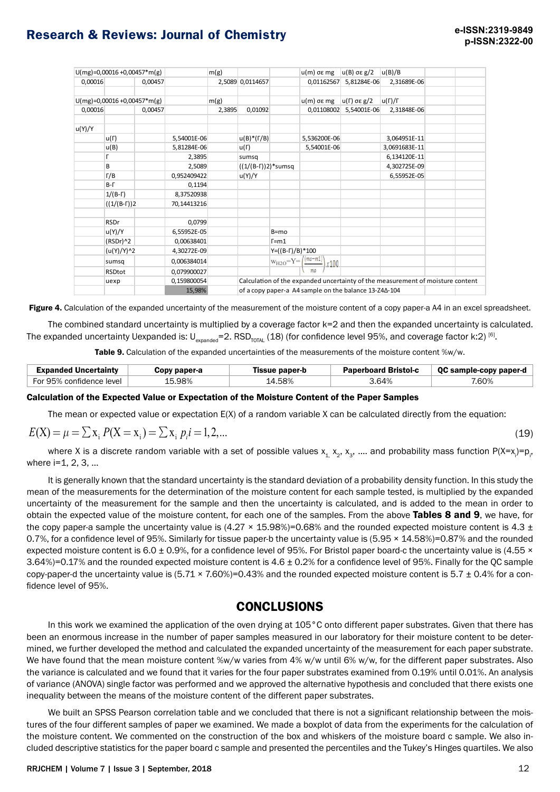|         | $U(mg)=0,00016+0,00457*m(g)$ |         |             | m(g)   |                      |                                                       | u(m) σε mg   | lu(B) σε g/2        | u(B)/B                                                                         |  |  |
|---------|------------------------------|---------|-------------|--------|----------------------|-------------------------------------------------------|--------------|---------------------|--------------------------------------------------------------------------------|--|--|
| 0,00016 |                              | 0,00457 |             |        | 2,5089 0,0114657     |                                                       | 0,01162567   | 5,81284E-06         | 2,31689E-06                                                                    |  |  |
|         | $U(mg)=0,00016+0,00457*m(g)$ |         |             | m(g)   |                      |                                                       | $u(m)$ σε mg | $ u(\Gamma)$ σε g/2 | $u(\Gamma)/\Gamma$                                                             |  |  |
| 0,00016 |                              | 0,00457 |             | 2,3895 | 0,01092              |                                                       | 0,01108002   | 5,54001E-06         | 2,31848E-06                                                                    |  |  |
| u(Y)/Y  |                              |         |             |        |                      |                                                       |              |                     |                                                                                |  |  |
|         | u(Г)                         |         | 5,54001E-06 |        | $u(B)*(T/B)$         |                                                       | 5,536200E-06 |                     | 3,064951E-11                                                                   |  |  |
|         | u(B)                         |         | 5,81284E-06 |        | $u(\Gamma)$          |                                                       | 5,54001E-06  |                     | 3,0691683E-11                                                                  |  |  |
|         |                              |         | 2,3895      |        | sumsq                |                                                       |              |                     | 6,134120E-11                                                                   |  |  |
|         | B                            |         | 2,5089      |        | $((1/(B-T))2)*sumsq$ |                                                       |              |                     | 4,302725E-09                                                                   |  |  |
|         | $\Gamma/B$                   |         | 0,952409422 |        | u(Y)/Y               |                                                       |              |                     | 6,55952E-05                                                                    |  |  |
|         | $B-T$                        |         | 0,1194      |        |                      |                                                       |              |                     |                                                                                |  |  |
|         | $1/(B-T)$                    |         | 8,37520938  |        |                      |                                                       |              |                     |                                                                                |  |  |
|         | $((1/(B-T))2)$               |         | 70,14413216 |        |                      |                                                       |              |                     |                                                                                |  |  |
|         | <b>RSDr</b>                  |         | 0,0799      |        |                      |                                                       |              |                     |                                                                                |  |  |
|         | u(Y)/Y                       |         | 6,55952E-05 |        |                      | $B=mo$                                                |              |                     |                                                                                |  |  |
|         | (RSDr)^2                     |         | 0,00638401  |        |                      | $r = m1$                                              |              |                     |                                                                                |  |  |
|         | (u(Y)/Y)^2                   |         | 4,30272E-09 |        | Y=((B-F)/B)*100      |                                                       |              |                     |                                                                                |  |  |
|         | sumsq                        |         | 0,006384014 |        |                      | $w_{H2O} = Y = \frac{(m_0 - m_1)}{2}$                 | x100         |                     |                                                                                |  |  |
|         | RSDtot                       |         | 0,079900027 |        |                      |                                                       |              |                     |                                                                                |  |  |
|         | uexp                         |         | 0,159800054 |        |                      |                                                       |              |                     | Calculation of the expanded uncertainty of the measurement of moisture content |  |  |
|         |                              |         | 15,98%      |        |                      | of a copy paper-a A4 sample on the balance 13-Z4Δ-104 |              |                     |                                                                                |  |  |

Figure 4. Calculation of the expanded uncertainty of the measurement of the moisture content of a copy paper-a A4 in an excel spreadsheet.

The combined standard uncertainty is multiplied by a coverage factor k=2 and then the expanded uncertainty is calculated. The expanded uncertainty Uexpanded is:  $U_{\text{expanded}} = 2$ . RSD<sub>TOTAL</sub> (18) (for confidence level 95%, and coverage factor k:2) <sup>[6]</sup>.

Table 9. Calculation of the expanded uncertainties of the measurements of the moisture content %w/w.

| Expanded Uncertaintv     | Copy paper-a | ïssue paper-b | <b>Paperboard Bristol-c</b> | QC sample-copy paper-d |
|--------------------------|--------------|---------------|-----------------------------|------------------------|
| For 95% confidence level | 5.98%        | 4.58%         | 64%                         | .60%                   |

#### Calculation of the Expected Value or Expectation of the Moisture Content of the Paper Samples

The mean or expected value or expectation E(X) of a random variable X can be calculated directly from the equation:

$$
E(X) = \mu = \sum x_i P(X = x_i) = \sum x_i p_i = 1, 2, \dots
$$
\n(19)

where X is a discrete random variable with a set of possible values  $x_1, x_2, x_3, ...$  and probability mass function P(X=x<sub>i</sub>)=p<sub>i</sub>, where **i**=1, 2, 3, ...

It is generally known that the standard uncertainty is the standard deviation of a probability density function. In this study the mean of the measurements for the determination of the moisture content for each sample tested, is multiplied by the expanded uncertainty of the measurement for the sample and then the uncertainty is calculated, and is added to the mean in order to obtain the expected value of the moisture content, for each one of the samples. From the above Tables 8 and 9, we have, for the copy paper-a sample the uncertainty value is  $(4.27 \times 15.98%)=0.68%$  and the rounded expected moisture content is 4.3  $\pm$ 0.7%, for a confidence level of 95%. Similarly for tissue paper-b the uncertainty value is (5.95 × 14.58%)=0.87% and the rounded expected moisture content is 6.0  $\pm$  0.9%, for a confidence level of 95%. For Bristol paper board-c the uncertainty value is (4.55  $\times$ 3.64%)=0.17% and the rounded expected moisture content is 4.6 ± 0.2% for a confidence level of 95%. Finally for the QC sample copy-paper-d the uncertainty value is  $(5.71 \times 7.60\%) = 0.43\%$  and the rounded expected moisture content is 5.7  $\pm$  0.4% for a confidence level of 95%.

## **CONCLUSIONS**

In this work we examined the application of the oven drying at 105°C onto different paper substrates. Given that there has been an enormous increase in the number of paper samples measured in our laboratory for their moisture content to be determined, we further developed the method and calculated the expanded uncertainty of the measurement for each paper substrate. We have found that the mean moisture content %w/w varies from 4% w/w until 6% w/w, for the different paper substrates. Also the variance is calculated and we found that it varies for the four paper substrates examined from 0.19% until 0.01%. An analysis of variance (ANOVA) single factor was performed and we approved the alternative hypothesis and concluded that there exists one inequality between the means of the moisture content of the different paper substrates.

We built an SPSS Pearson correlation table and we concluded that there is not a significant relationship between the moistures of the four different samples of paper we examined. We made a boxplot of data from the experiments for the calculation of the moisture content. We commented on the construction of the box and whiskers of the moisture board c sample. We also included descriptive statistics for the paper board c sample and presented the percentiles and the Tukey's Hinges quartiles. We also